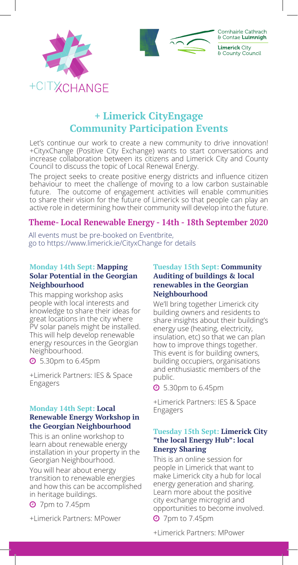



# **+ Limerick CityEngage Community Participation Events**

Let's continue our work to create a new community to drive innovation! +CityxChange (Positive City Exchange) wants to start conversations and increase collaboration between its citizens and Limerick City and County Council to discuss the topic of Local Renewal Energy.

The project seeks to create positive energy districts and influence citizen behaviour to meet the challenge of moving to a low carbon sustainable future. The outcome of engagement activities will enable communities to share their vision for the future of Limerick so that people can play an active role in determining how their community will develop into the future.

## **Theme- Local Renewable Energy - 14th - 18th September 2020**

All events must be pre-booked on Eventbrite, go to https://www.limerick.ie/CityxChange for details

#### **Monday 14th Sept: Mapping Solar Potential in the Georgian Neighbourhood**

This mapping workshop asks people with local interests and knowledge to share their ideas for great locations in the city where PV solar panels might be installed. This will help develop renewable energy resources in the Georgian Neighbourhood.

 $\odot$  5.30pm to 6.45pm

+Limerick Partners: IES & Space Engagers

#### **Monday 14th Sept: Local Renewable Energy Workshop in the Georgian Neighbourhood**

This is an online workshop to learn about renewable energy installation in your property in the Georgian Neighbourhood.

You will hear about energy transition to renewable energies and how this can be accomplished in heritage buildings.

 $\odot$  7pm to 7.45pm

+Limerick Partners: MPower

#### **Tuesday 15th Sept: Community Auditing of buildings & local renewables in the Georgian Neighbourhood**

We'll bring together Limerick city building owners and residents to share insights about their building's energy use (heating, electricity, insulation, etc) so that we can plan how to improve things together. This event is for building owners, building occupiers, organisations and enthusiastic members of the public.

 $\odot$  5.30pm to 6.45pm

+Limerick Partners: IES & Space Engagers

#### **Tuesday 15th Sept: Limerick City "the local Energy Hub": local Energy Sharing**

This is an online session for people in Limerick that want to make Limerick city a hub for local energy generation and sharing. Learn more about the positive city exchange microgrid and opportunities to become involved.

 $\odot$  7pm to 7.45pm

+Limerick Partners: MPower